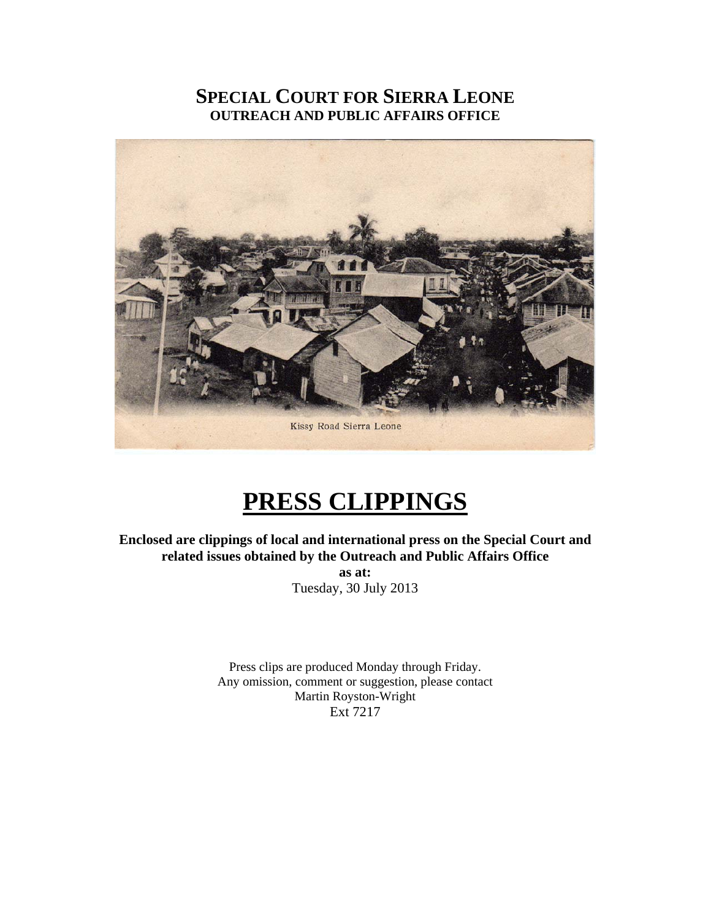## **SPECIAL COURT FOR SIERRA LEONE OUTREACH AND PUBLIC AFFAIRS OFFICE**



# **PRESS CLIPPINGS**

**Enclosed are clippings of local and international press on the Special Court and related issues obtained by the Outreach and Public Affairs Office** 

**as at:**  Tuesday, 30 July 2013

Press clips are produced Monday through Friday. Any omission, comment or suggestion, please contact Martin Royston-Wright Ext 7217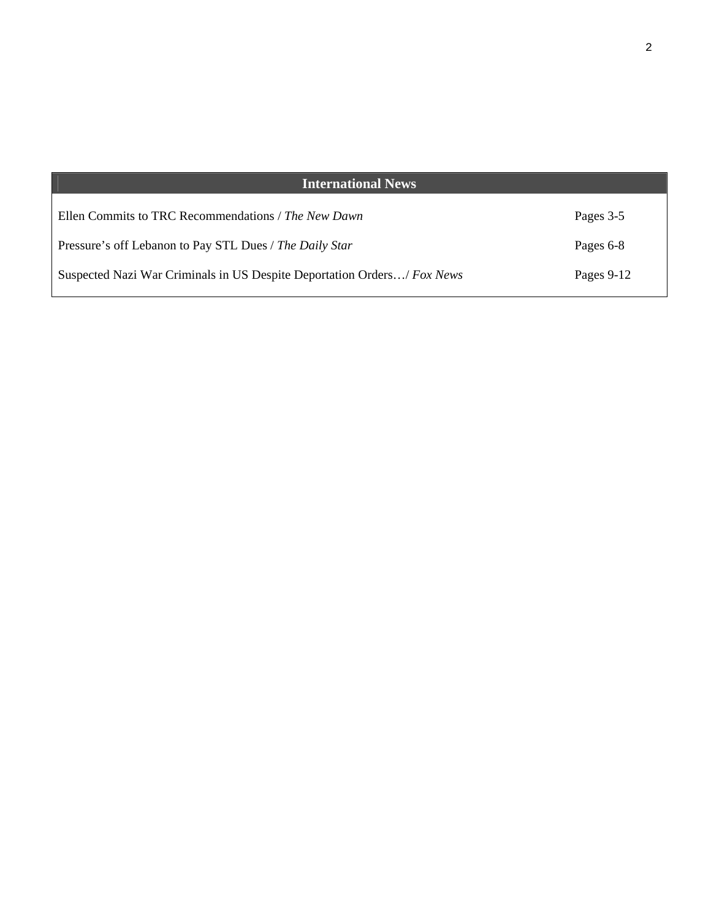| <b>International News</b>                                               |              |
|-------------------------------------------------------------------------|--------------|
| Ellen Commits to TRC Recommendations / The New Dawn                     | Pages 3-5    |
| Pressure's off Lebanon to Pay STL Dues / The Daily Star                 | Pages 6-8    |
| Suspected Nazi War Criminals in US Despite Deportation Orders/ Fox News | Pages $9-12$ |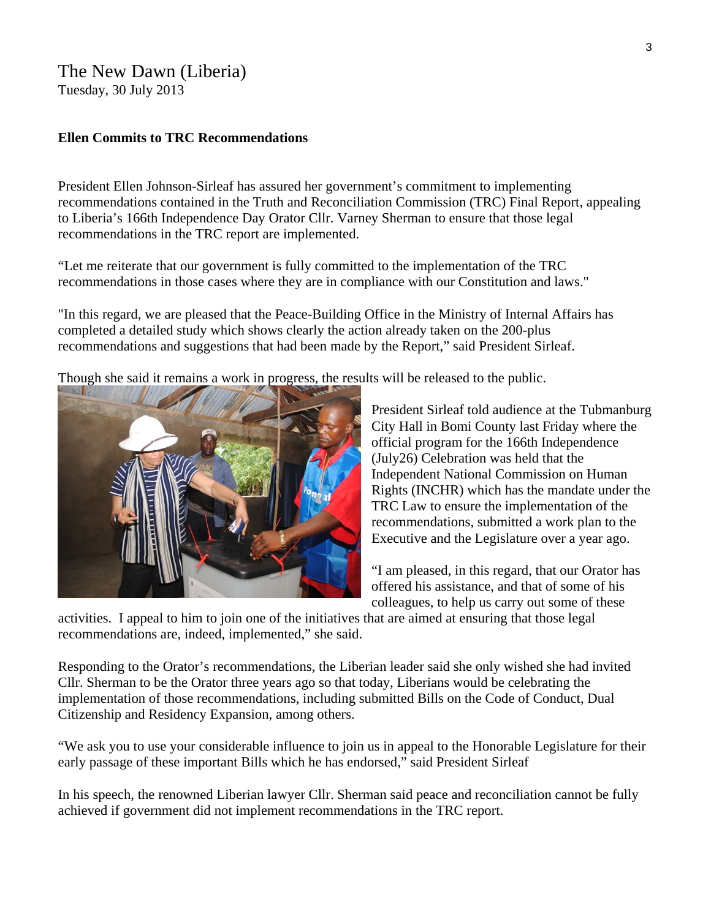#### The New Dawn (Liberia) Tuesday, 30 July 2013

#### **Ellen Commits to TRC Recommendations**

President Ellen Johnson-Sirleaf has assured her government's commitment to implementing recommendations contained in the Truth and Reconciliation Commission (TRC) Final Report, appealing to Liberia's 166th Independence Day Orator Cllr. Varney Sherman to ensure that those legal recommendations in the TRC report are implemented.

"Let me reiterate that our government is fully committed to the implementation of the TRC recommendations in those cases where they are in compliance with our Constitution and laws."

"In this regard, we are pleased that the Peace-Building Office in the Ministry of Internal Affairs has completed a detailed study which shows clearly the action already taken on the 200-plus recommendations and suggestions that had been made by the Report," said President Sirleaf.

Though she said it remains a work in progress, the results will be released to the public.



President Sirleaf told audience at the T ubmanburg City Hall in Bomi County last Friday where t he official program for the 166th Independence (July26) Celebration was held that the Independent National Commission on Human Rights (INCHR) which has the mandate under the TRC Law to ensure the implementation of the recommendations, submitted a work plan to the Executive and the Legislature over a year ago.

"I am pleased, in this regard, that our Orator has offered his assistance, and that of some of his colleagues, to help us carry out some of these

activities. I appeal to him to join one of the initiatives that are aimed at ensuring that those legal recommendations are, indeed, implemented," she said.

Responding to the Orator's recommendations, the Liberian leader said she only wished she had invited Cllr. Sherman to be the Orator three years ago so that today, Liberians would be celebrating the implementation of those recommendations, including submitted Bills on the Code of Conduct, Dual Citizenship and Residency Expansion, among others.

"We ask you to use your considerable influence to join us in appeal to the Honorable Legislature for their early passage of these important Bills which he has endorsed," said President Sirleaf

In his speech, the renowned Liberian lawyer Cllr. Sherman said peace and reconciliation cannot be fully achieved if government did not implement recommendations in the TRC report.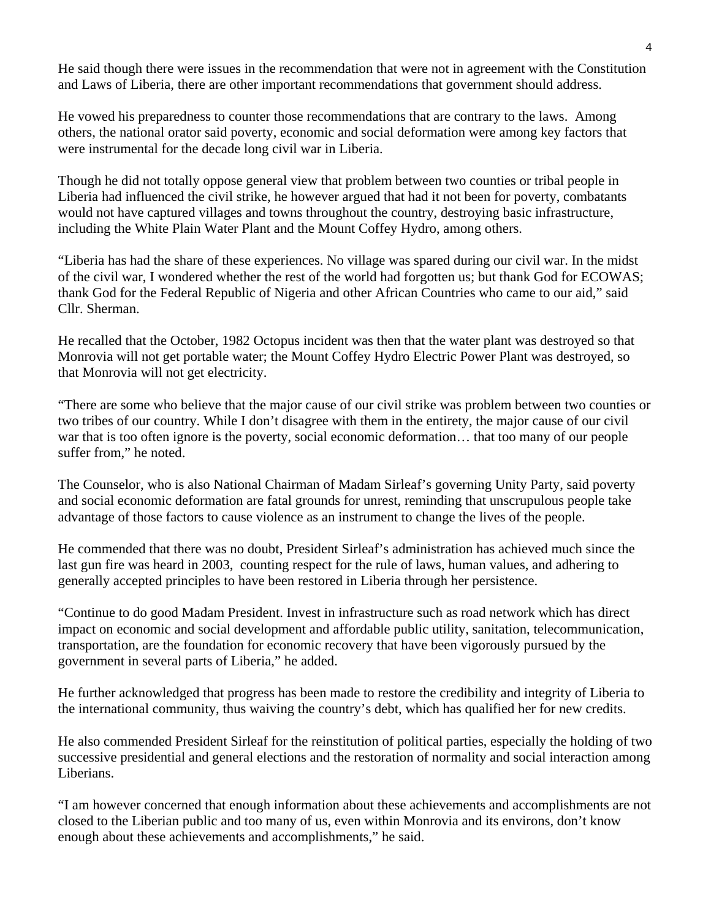He said though there were issues in the recommendation that were not in agreement with the Constitution and Laws of Liberia, there are other important recommendations that government should address.

He vowed his preparedness to counter those recommendations that are contrary to the laws. Among others, the national orator said poverty, economic and social deformation were among key factors that were instrumental for the decade long civil war in Liberia.

Though he did not totally oppose general view that problem between two counties or tribal people in Liberia had influenced the civil strike, he however argued that had it not been for poverty, combatants would not have captured villages and towns throughout the country, destroying basic infrastructure, including the White Plain Water Plant and the Mount Coffey Hydro, among others.

"Liberia has had the share of these experiences. No village was spared during our civil war. In the midst of the civil war, I wondered whether the rest of the world had forgotten us; but thank God for ECOWAS; thank God for the Federal Republic of Nigeria and other African Countries who came to our aid," said Cllr. Sherman.

He recalled that the October, 1982 Octopus incident was then that the water plant was destroyed so that Monrovia will not get portable water; the Mount Coffey Hydro Electric Power Plant was destroyed, so that Monrovia will not get electricity.

"There are some who believe that the major cause of our civil strike was problem between two counties or two tribes of our country. While I don't disagree with them in the entirety, the major cause of our civil war that is too often ignore is the poverty, social economic deformation… that too many of our people suffer from," he noted.

The Counselor, who is also National Chairman of Madam Sirleaf's governing Unity Party, said poverty and social economic deformation are fatal grounds for unrest, reminding that unscrupulous people take advantage of those factors to cause violence as an instrument to change the lives of the people.

He commended that there was no doubt, President Sirleaf's administration has achieved much since the last gun fire was heard in 2003, counting respect for the rule of laws, human values, and adhering to generally accepted principles to have been restored in Liberia through her persistence.

"Continue to do good Madam President. Invest in infrastructure such as road network which has direct impact on economic and social development and affordable public utility, sanitation, telecommunication, transportation, are the foundation for economic recovery that have been vigorously pursued by the government in several parts of Liberia," he added.

He further acknowledged that progress has been made to restore the credibility and integrity of Liberia to the international community, thus waiving the country's debt, which has qualified her for new credits.

He also commended President Sirleaf for the reinstitution of political parties, especially the holding of two successive presidential and general elections and the restoration of normality and social interaction among Liberians.

"I am however concerned that enough information about these achievements and accomplishments are not closed to the Liberian public and too many of us, even within Monrovia and its environs, don't know enough about these achievements and accomplishments," he said.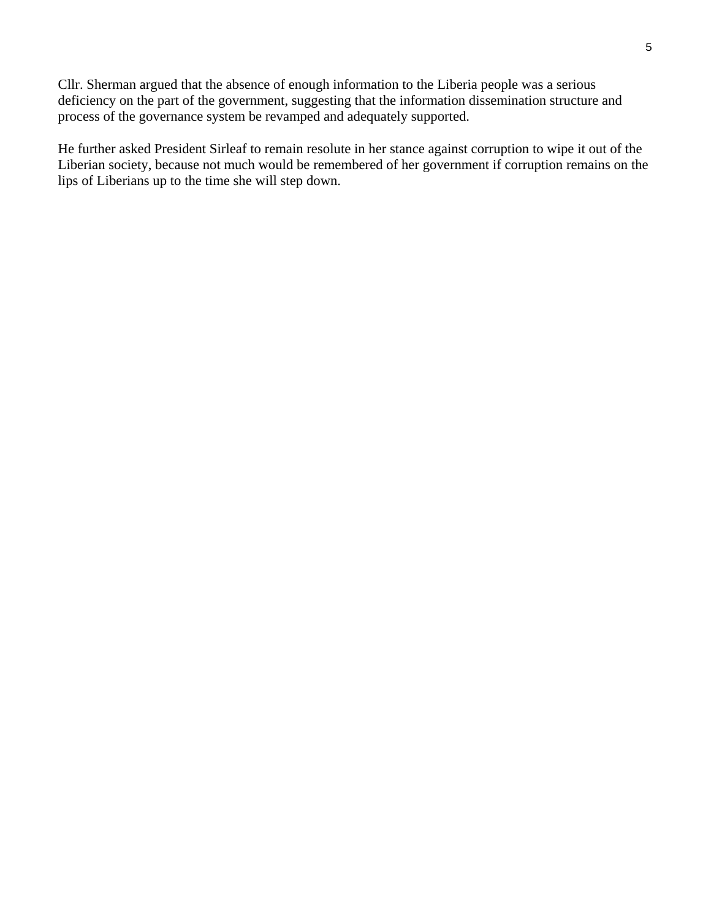Cllr. Sherman argued that the absence of enough information to the Liberia people was a serious deficiency on the part of the government, suggesting that the information dissemination structure and process of the governance system be revamped and adequately supported.

He further asked President Sirleaf to remain resolute in her stance against corruption to wipe it out of the Liberian society, because not much would be remembered of her government if corruption remains on the lips of Liberians up to the time she will step down.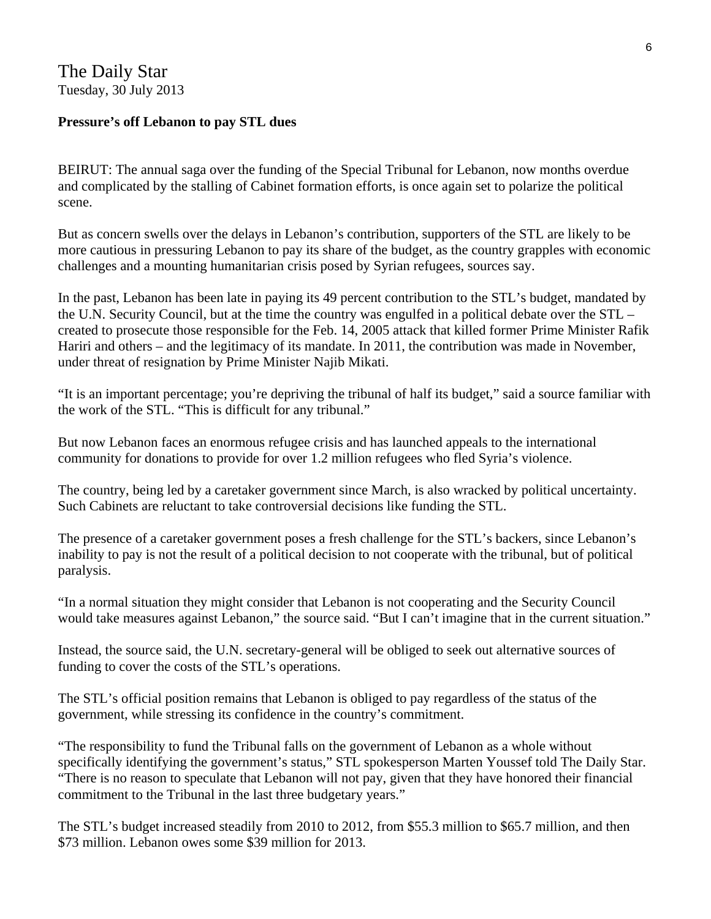### The Daily Star Tuesday, 30 July 2013

#### **Pressure's off Lebanon to pay STL dues**

BEIRUT: The annual saga over the funding of the Special Tribunal for Lebanon, now months overdue and complicated by the stalling of Cabinet formation efforts, is once again set to polarize the political scene.

But as concern swells over the delays in Lebanon's contribution, supporters of the STL are likely to be more cautious in pressuring Lebanon to pay its share of the budget, as the country grapples with economic challenges and a mounting humanitarian crisis posed by Syrian refugees, sources say.

In the past, Lebanon has been late in paying its 49 percent contribution to the STL's budget, mandated by the U.N. Security Council, but at the time the country was engulfed in a political debate over the STL – created to prosecute those responsible for the Feb. 14, 2005 attack that killed former Prime Minister Rafik Hariri and others – and the legitimacy of its mandate. In 2011, the contribution was made in November, under threat of resignation by Prime Minister Najib Mikati.

"It is an important percentage; you're depriving the tribunal of half its budget," said a source familiar with the work of the STL. "This is difficult for any tribunal."

But now Lebanon faces an enormous refugee crisis and has launched appeals to the international community for donations to provide for over 1.2 million refugees who fled Syria's violence.

The country, being led by a caretaker government since March, is also wracked by political uncertainty. Such Cabinets are reluctant to take controversial decisions like funding the STL.

The presence of a caretaker government poses a fresh challenge for the STL's backers, since Lebanon's inability to pay is not the result of a political decision to not cooperate with the tribunal, but of political paralysis.

"In a normal situation they might consider that Lebanon is not cooperating and the Security Council would take measures against Lebanon," the source said. "But I can't imagine that in the current situation."

Instead, the source said, the U.N. secretary-general will be obliged to seek out alternative sources of funding to cover the costs of the STL's operations.

The STL's official position remains that Lebanon is obliged to pay regardless of the status of the government, while stressing its confidence in the country's commitment.

"The responsibility to fund the Tribunal falls on the government of Lebanon as a whole without specifically identifying the government's status," STL spokesperson Marten Youssef told The Daily Star. "There is no reason to speculate that Lebanon will not pay, given that they have honored their financial commitment to the Tribunal in the last three budgetary years."

The STL's budget increased steadily from 2010 to 2012, from \$55.3 million to \$65.7 million, and then \$73 million. Lebanon owes some \$39 million for 2013.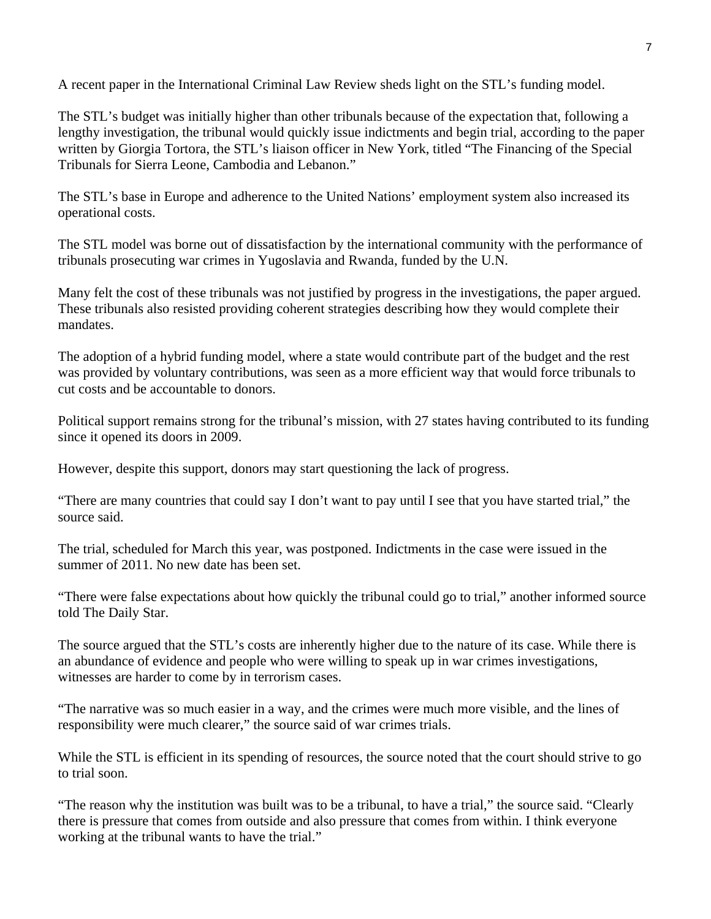A recent paper in the International Criminal Law Review sheds light on the STL's funding model.

The STL's budget was initially higher than other tribunals because of the expectation that, following a lengthy investigation, the tribunal would quickly issue indictments and begin trial, according to the paper written by Giorgia Tortora, the STL's liaison officer in New York, titled "The Financing of the Special Tribunals for Sierra Leone, Cambodia and Lebanon."

The STL's base in Europe and adherence to the United Nations' employment system also increased its operational costs.

The STL model was borne out of dissatisfaction by the international community with the performance of tribunals prosecuting war crimes in Yugoslavia and Rwanda, funded by the U.N.

Many felt the cost of these tribunals was not justified by progress in the investigations, the paper argued. These tribunals also resisted providing coherent strategies describing how they would complete their mandates.

The adoption of a hybrid funding model, where a state would contribute part of the budget and the rest was provided by voluntary contributions, was seen as a more efficient way that would force tribunals to cut costs and be accountable to donors.

Political support remains strong for the tribunal's mission, with 27 states having contributed to its funding since it opened its doors in 2009.

However, despite this support, donors may start questioning the lack of progress.

"There are many countries that could say I don't want to pay until I see that you have started trial," the source said.

The trial, scheduled for March this year, was postponed. Indictments in the case were issued in the summer of 2011. No new date has been set.

"There were false expectations about how quickly the tribunal could go to trial," another informed source told The Daily Star.

The source argued that the STL's costs are inherently higher due to the nature of its case. While there is an abundance of evidence and people who were willing to speak up in war crimes investigations, witnesses are harder to come by in terrorism cases.

"The narrative was so much easier in a way, and the crimes were much more visible, and the lines of responsibility were much clearer," the source said of war crimes trials.

While the STL is efficient in its spending of resources, the source noted that the court should strive to go to trial soon.

"The reason why the institution was built was to be a tribunal, to have a trial," the source said. "Clearly there is pressure that comes from outside and also pressure that comes from within. I think everyone working at the tribunal wants to have the trial."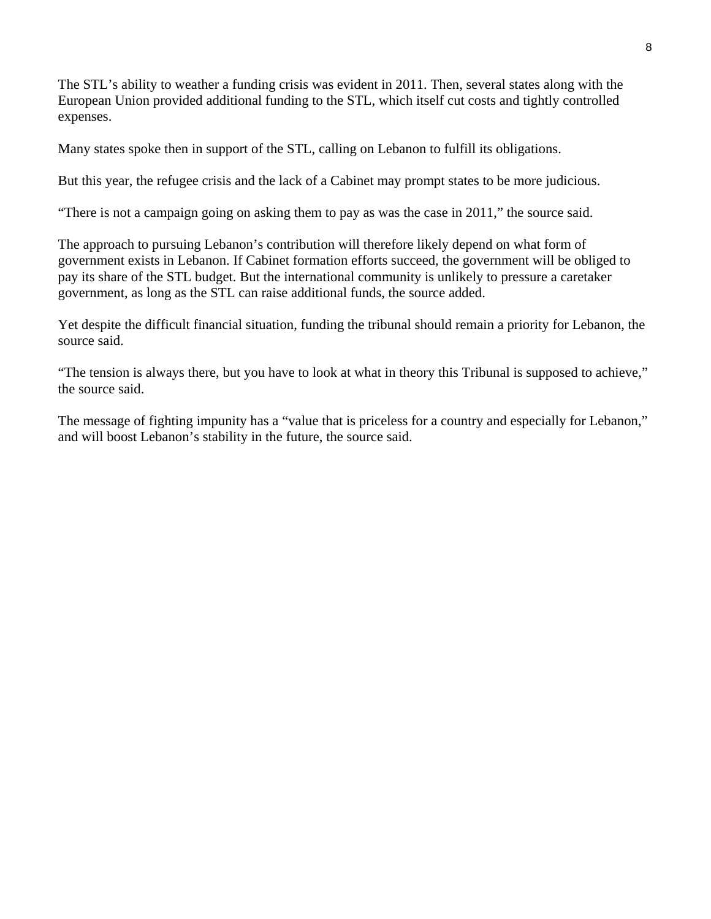The STL's ability to weather a funding crisis was evident in 2011. Then, several states along with the European Union provided additional funding to the STL, which itself cut costs and tightly controlled expenses.

Many states spoke then in support of the STL, calling on Lebanon to fulfill its obligations.

But this year, the refugee crisis and the lack of a Cabinet may prompt states to be more judicious.

"There is not a campaign going on asking them to pay as was the case in 2011," the source said.

The approach to pursuing Lebanon's contribution will therefore likely depend on what form of government exists in Lebanon. If Cabinet formation efforts succeed, the government will be obliged to pay its share of the STL budget. But the international community is unlikely to pressure a caretaker government, as long as the STL can raise additional funds, the source added.

Yet despite the difficult financial situation, funding the tribunal should remain a priority for Lebanon, the source said.

"The tension is always there, but you have to look at what in theory this Tribunal is supposed to achieve," the source said.

The message of fighting impunity has a "value that is priceless for a country and especially for Lebanon," and will boost Lebanon's stability in the future, the source said.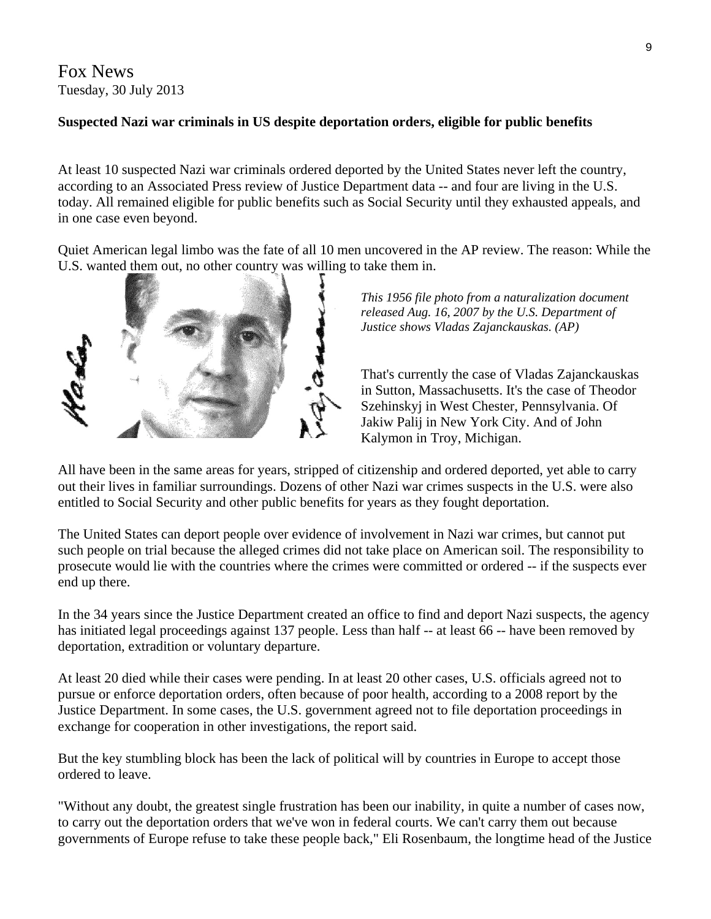Fox News Tuesday, 30 July 2013

#### **Suspected Nazi war criminals in US despite deportation orders, eligible for public benefits**

At least 10 suspected Nazi war criminals ordered deported by the United States never left the country, according to an Associated Press review of Justice Department data -- and four are living in the U.S. today. All remained eligible for public benefits such as Social Security until they exhausted appeals, and in one case even beyond.

Quiet American legal limbo was the fate of all 10 men uncovered in the AP review. The reason: While the U.S. wanted them out, no other country was willing to take them in.



*This 1956 file photo from a naturalization document released Aug. 16, 2007 by the U.S. Department of Justice shows Vladas Zajanckauskas. (AP)* 

That's currently the case of Vladas Zajanckauskas in Sutton, Massachusetts. It's the case of Theodor Szehinskyj in West Chester, Pennsylvania. Of Jakiw Palij in New York City. And of John Kalymon in Troy, Michigan.

All have been in the same areas for years, stripped of citizenship and ordered deported, yet able to carry out their lives in familiar surroundings. Dozens of other Nazi war crimes suspects in the U.S. were also entitled to Social Security and other public benefits for years as they fought deportation.

The United States can deport people over evidence of involvement in Nazi war crimes, but cannot put such people on trial because the alleged crimes did not take place on American soil. The responsibility to prosecute would lie with the countries where the crimes were committed or ordered -- if the suspects ever end up there.

In the 34 years since the Justice Department created an office to find and deport Nazi suspects, the agency has initiated legal proceedings against 137 people. Less than half -- at least 66 -- have been removed by deportation, extradition or voluntary departure.

At least 20 died while their cases were pending. In at least 20 other cases, U.S. officials agreed not to pursue or enforce deportation orders, often because of poor health, according to a 2008 report by the Justice Department. In some cases, the U.S. government agreed not to file deportation proceedings in exchange for cooperation in other investigations, the report said.

But the key stumbling block has been the lack of political will by countries in Europe to accept those ordered to leave.

"Without any doubt, the greatest single frustration has been our inability, in quite a number of cases now, to carry out the deportation orders that we've won in federal courts. We can't carry them out because governments of Europe refuse to take these people back," Eli Rosenbaum, the longtime head of the Justice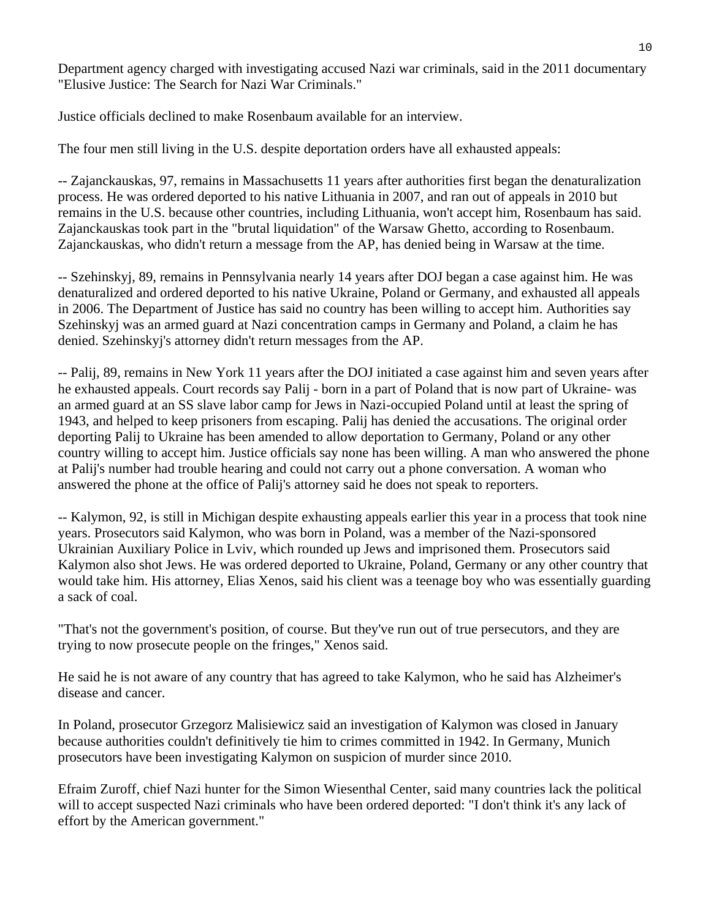Department agency charged with investigating accused Nazi war criminals, said in the 2011 documentary "Elusive Justice: The Search for Nazi War Criminals."

Justice officials declined to make Rosenbaum available for an interview.

The four men still living in the U.S. despite deportation orders have all exhausted appeals:

-- Zajanckauskas, 97, remains in Massachusetts 11 years after authorities first began the denaturalization process. He was ordered deported to his native Lithuania in 2007, and ran out of appeals in 2010 but remains in the U.S. because other countries, including Lithuania, won't accept him, Rosenbaum has said. Zajanckauskas took part in the "brutal liquidation" of the Warsaw Ghetto, according to Rosenbaum. Zajanckauskas, who didn't return a message from the AP, has denied being in Warsaw at the time.

-- Szehinskyj, 89, remains in Pennsylvania nearly 14 years after DOJ began a case against him. He was denaturalized and ordered deported to his native Ukraine, Poland or Germany, and exhausted all appeals in 2006. The Department of Justice has said no country has been willing to accept him. Authorities say Szehinskyj was an armed guard at Nazi concentration camps in Germany and Poland, a claim he has denied. Szehinskyj's attorney didn't return messages from the AP.

-- Palij, 89, remains in New York 11 years after the DOJ initiated a case against him and seven years after he exhausted appeals. Court records say Palij - born in a part of Poland that is now part of Ukraine- was an armed guard at an SS slave labor camp for Jews in Nazi-occupied Poland until at least the spring of 1943, and helped to keep prisoners from escaping. Palij has denied the accusations. The original order deporting Palij to Ukraine has been amended to allow deportation to Germany, Poland or any other country willing to accept him. Justice officials say none has been willing. A man who answered the phone at Palij's number had trouble hearing and could not carry out a phone conversation. A woman who answered the phone at the office of Palij's attorney said he does not speak to reporters.

-- Kalymon, 92, is still in Michigan despite exhausting appeals earlier this year in a process that took nine years. Prosecutors said Kalymon, who was born in Poland, was a member of the Nazi-sponsored Ukrainian Auxiliary Police in Lviv, which rounded up Jews and imprisoned them. Prosecutors said Kalymon also shot Jews. He was ordered deported to Ukraine, Poland, Germany or any other country that would take him. His attorney, Elias Xenos, said his client was a teenage boy who was essentially guarding a sack of coal.

"That's not the government's position, of course. But they've run out of true persecutors, and they are trying to now prosecute people on the fringes," Xenos said.

He said he is not aware of any country that has agreed to take Kalymon, who he said has Alzheimer's disease and cancer.

In Poland, prosecutor Grzegorz Malisiewicz said an investigation of Kalymon was closed in January because authorities couldn't definitively tie him to crimes committed in 1942. In Germany, Munich prosecutors have been investigating Kalymon on suspicion of murder since 2010.

Efraim Zuroff, chief Nazi hunter for the Simon Wiesenthal Center, said many countries lack the political will to accept suspected Nazi criminals who have been ordered deported: "I don't think it's any lack of effort by the American government."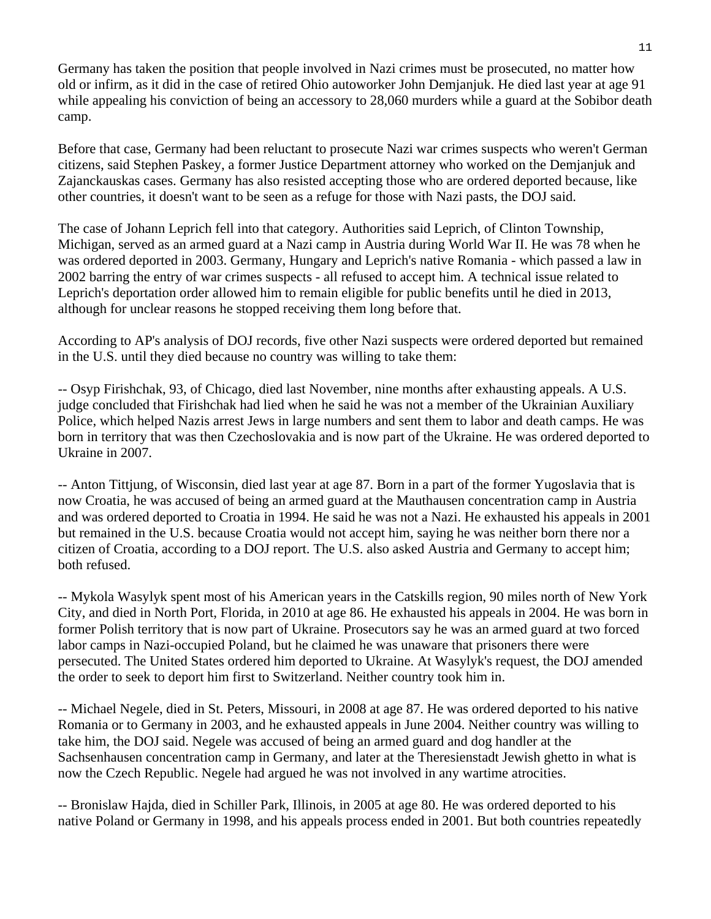Germany has taken the position that people involved in Nazi crimes must be prosecuted, no matter how old or infirm, as it did in the case of retired Ohio autoworker John Demjanjuk. He died last year at age 91 while appealing his conviction of being an accessory to 28,060 murders while a guard at the Sobibor death camp.

Before that case, Germany had been reluctant to prosecute Nazi war crimes suspects who weren't German citizens, said Stephen Paskey, a former Justice Department attorney who worked on the Demjanjuk and Zajanckauskas cases. Germany has also resisted accepting those who are ordered deported because, like other countries, it doesn't want to be seen as a refuge for those with Nazi pasts, the DOJ said.

The case of Johann Leprich fell into that category. Authorities said Leprich, of Clinton Township, Michigan, served as an armed guard at a Nazi camp in Austria during World War II. He was 78 when he was ordered deported in 2003. Germany, Hungary and Leprich's native Romania - which passed a law in 2002 barring the entry of war crimes suspects - all refused to accept him. A technical issue related to Leprich's deportation order allowed him to remain eligible for public benefits until he died in 2013, although for unclear reasons he stopped receiving them long before that.

According to AP's analysis of DOJ records, five other Nazi suspects were ordered deported but remained in the U.S. until they died because no country was willing to take them:

-- Osyp Firishchak, 93, of Chicago, died last November, nine months after exhausting appeals. A U.S. judge concluded that Firishchak had lied when he said he was not a member of the Ukrainian Auxiliary Police, which helped Nazis arrest Jews in large numbers and sent them to labor and death camps. He was born in territory that was then Czechoslovakia and is now part of the Ukraine. He was ordered deported to Ukraine in 2007.

-- Anton Tittjung, of Wisconsin, died last year at age 87. Born in a part of the former Yugoslavia that is now Croatia, he was accused of being an armed guard at the Mauthausen concentration camp in Austria and was ordered deported to Croatia in 1994. He said he was not a Nazi. He exhausted his appeals in 2001 but remained in the U.S. because Croatia would not accept him, saying he was neither born there nor a citizen of Croatia, according to a DOJ report. The U.S. also asked Austria and Germany to accept him; both refused.

-- Mykola Wasylyk spent most of his American years in the Catskills region, 90 miles north of New York City, and died in North Port, Florida, in 2010 at age 86. He exhausted his appeals in 2004. He was born in former Polish territory that is now part of Ukraine. Prosecutors say he was an armed guard at two forced labor camps in Nazi-occupied Poland, but he claimed he was unaware that prisoners there were persecuted. The United States ordered him deported to Ukraine. At Wasylyk's request, the DOJ amended the order to seek to deport him first to Switzerland. Neither country took him in.

-- Michael Negele, died in St. Peters, Missouri, in 2008 at age 87. He was ordered deported to his native Romania or to Germany in 2003, and he exhausted appeals in June 2004. Neither country was willing to take him, the DOJ said. Negele was accused of being an armed guard and dog handler at the Sachsenhausen concentration camp in Germany, and later at the Theresienstadt Jewish ghetto in what is now the Czech Republic. Negele had argued he was not involved in any wartime atrocities.

-- Bronislaw Hajda, died in Schiller Park, Illinois, in 2005 at age 80. He was ordered deported to his native Poland or Germany in 1998, and his appeals process ended in 2001. But both countries repeatedly